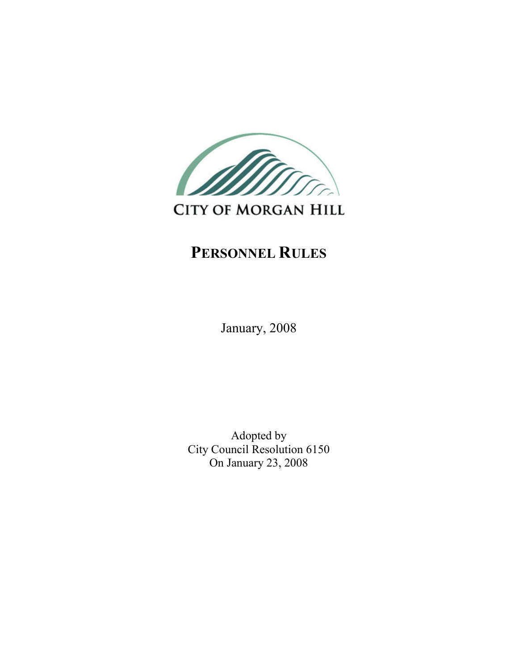

# **CITY OF MORGAN HILL**

## PERSONNEL RULES

January, 2008

Adopted by City Council Resolution 6150 On January 23, 2008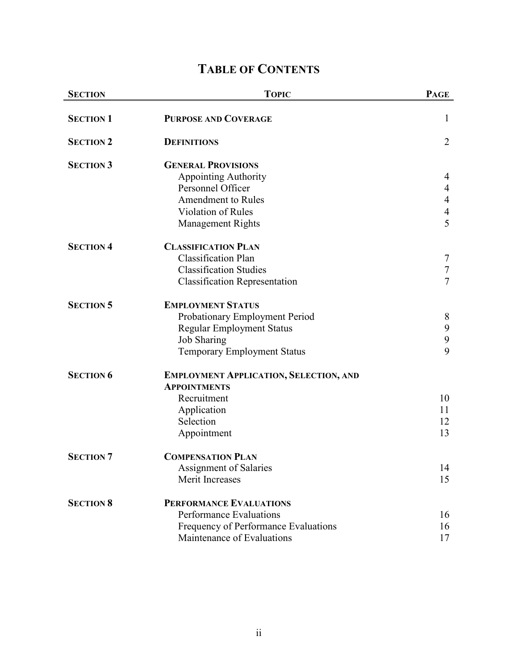## TABLE OF CONTENTS

| <b>SECTION</b>   | <b>TOPIC</b>                                  | <b>PAGE</b>    |
|------------------|-----------------------------------------------|----------------|
| <b>SECTION 1</b> | <b>PURPOSE AND COVERAGE</b>                   | $\mathbf{1}$   |
| <b>SECTION 2</b> | <b>DEFINITIONS</b>                            | $\overline{2}$ |
| <b>SECTION 3</b> | <b>GENERAL PROVISIONS</b>                     |                |
|                  | <b>Appointing Authority</b>                   | 4              |
|                  | Personnel Officer                             | $\overline{4}$ |
|                  | <b>Amendment to Rules</b>                     | $\overline{4}$ |
|                  | Violation of Rules                            | 4              |
|                  | <b>Management Rights</b>                      | 5              |
| <b>SECTION 4</b> | <b>CLASSIFICATION PLAN</b>                    |                |
|                  | <b>Classification Plan</b>                    | 7              |
|                  | <b>Classification Studies</b>                 | $\tau$         |
|                  | <b>Classification Representation</b>          | $\overline{7}$ |
| <b>SECTION 5</b> | <b>EMPLOYMENT STATUS</b>                      |                |
|                  | Probationary Employment Period                | 8              |
|                  | <b>Regular Employment Status</b>              | 9              |
|                  | <b>Job Sharing</b>                            | 9              |
|                  | <b>Temporary Employment Status</b>            | 9              |
| <b>SECTION 6</b> | <b>EMPLOYMENT APPLICATION, SELECTION, AND</b> |                |
|                  | <b>APPOINTMENTS</b>                           |                |
|                  | Recruitment                                   | 10             |
|                  | Application                                   | 11             |
|                  | Selection                                     | 12             |
|                  | Appointment                                   | 13             |
| <b>SECTION 7</b> | <b>COMPENSATION PLAN</b>                      |                |
|                  | Assignment of Salaries                        | 14             |
|                  | Merit Increases                               | 15             |
| <b>SECTION 8</b> | <b>PERFORMANCE EVALUATIONS</b>                |                |
|                  | <b>Performance Evaluations</b>                | 16             |
|                  | Frequency of Performance Evaluations          | 16             |
|                  | Maintenance of Evaluations                    | 17             |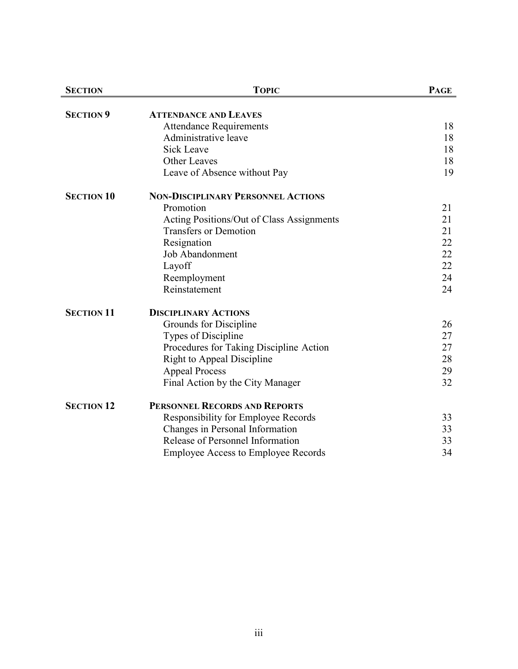| <b>SECTION</b>    | <b>TOPIC</b>                               | <b>PAGE</b> |
|-------------------|--------------------------------------------|-------------|
|                   |                                            |             |
| <b>SECTION 9</b>  | <b>ATTENDANCE AND LEAVES</b>               |             |
|                   | <b>Attendance Requirements</b>             | 18          |
|                   | Administrative leave                       | 18          |
|                   | <b>Sick Leave</b>                          | 18          |
|                   | Other Leaves                               | 18          |
|                   | Leave of Absence without Pay               | 19          |
| <b>SECTION 10</b> | <b>NON-DISCIPLINARY PERSONNEL ACTIONS</b>  |             |
|                   | Promotion                                  | 21          |
|                   | Acting Positions/Out of Class Assignments  | 21          |
|                   | <b>Transfers or Demotion</b>               | 21          |
|                   | Resignation                                | 22          |
|                   | <b>Job Abandonment</b>                     | 22          |
|                   | Layoff                                     | 22          |
|                   | Reemployment                               | 24          |
|                   | Reinstatement                              | 24          |
| <b>SECTION 11</b> | <b>DISCIPLINARY ACTIONS</b>                |             |
|                   | Grounds for Discipline                     | 26          |
|                   | Types of Discipline                        | 27          |
|                   | Procedures for Taking Discipline Action    | 27          |
|                   | <b>Right to Appeal Discipline</b>          | 28          |
|                   | <b>Appeal Process</b>                      | 29          |
|                   | Final Action by the City Manager           | 32          |
| <b>SECTION 12</b> | PERSONNEL RECORDS AND REPORTS              |             |
|                   | Responsibility for Employee Records        | 33          |
|                   | Changes in Personal Information            | 33          |
|                   | Release of Personnel Information           | 33          |
|                   | <b>Employee Access to Employee Records</b> | 34          |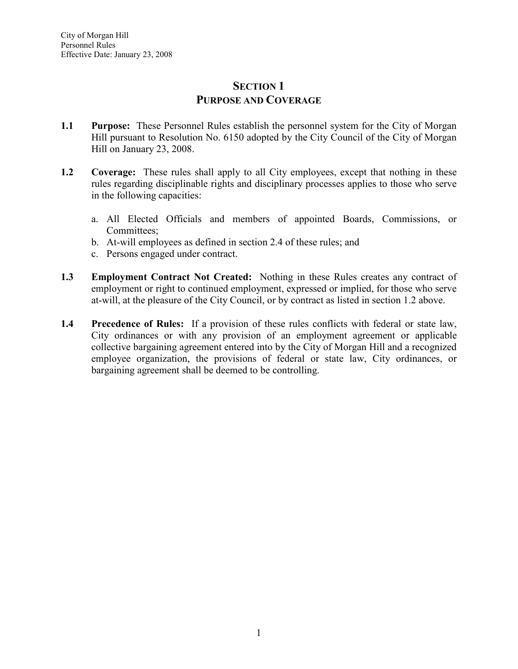## SECTION<sub>1</sub> PURPOSE AND COVERAGE

- 1.1 Purpose: These Personnel Rules establish the personnel system for the City of Morgan Hill pursuant to Resolution No. 6150 adopted by the City Council of the City of Morgan Hill on January 23, 2008.
- 1.2 Coverage: These rules shall apply to all City employees, except that nothing in these rules regarding disciplinable rights and disciplinary processes applies to those who serve in the following capacities:
	- a. All Elected Officials and members of appointed Boards, Commissions, or Committees;
	- b. At-will employees as defined in section 2.4 of these rules; and
	- c. Persons engaged under contract.
- 1.3 Employment Contract Not Created: Nothing in these Rules creates any contract of employment or right to continued employment, expressed or implied, for those who serve at-will, at the pleasure of the City Council, or by contract as listed in section 1.2 above.
- 1.4 Precedence of Rules: If a provision of these rules conflicts with federal or state law, City ordinances or with any provision of an employment agreement or applicable collective bargaining agreement entered into by the City of Morgan Hill and a recognized employee organization, the provisions of federal or state law, City ordinances, or bargaining agreement shall be deemed to be controlling.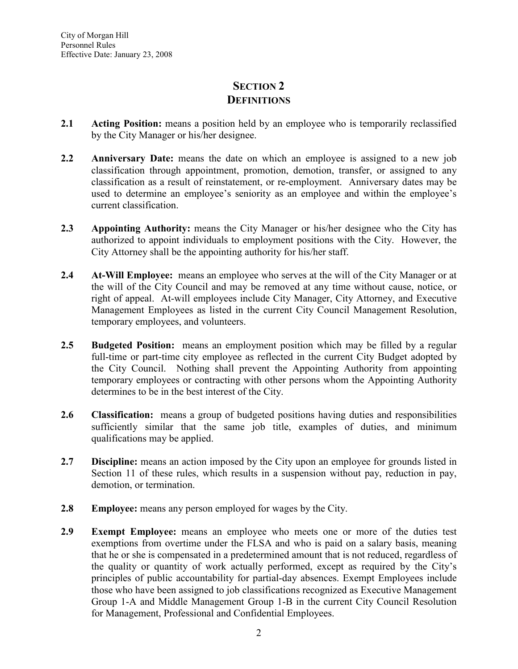## SECTION 2 **DEFINITIONS**

- 2.1 Acting Position: means a position held by an employee who is temporarily reclassified by the City Manager or his/her designee.
- 2.2 Anniversary Date: means the date on which an employee is assigned to a new job classification through appointment, promotion, demotion, transfer, or assigned to any classification as a result of reinstatement, or re-employment. Anniversary dates may be used to determine an employee's seniority as an employee and within the employee's current classification.
- 2.3 Appointing Authority: means the City Manager or his/her designee who the City has authorized to appoint individuals to employment positions with the City. However, the City Attorney shall be the appointing authority for his/her staff.
- 2.4 At-Will Employee: means an employee who serves at the will of the City Manager or at the will of the City Council and may be removed at any time without cause, notice, or right of appeal. At-will employees include City Manager, City Attorney, and Executive Management Employees as listed in the current City Council Management Resolution, temporary employees, and volunteers.
- 2.5 Budgeted Position: means an employment position which may be filled by a regular full-time or part-time city employee as reflected in the current City Budget adopted by the City Council. Nothing shall prevent the Appointing Authority from appointing temporary employees or contracting with other persons whom the Appointing Authority determines to be in the best interest of the City.
- 2.6 Classification: means a group of budgeted positions having duties and responsibilities sufficiently similar that the same job title, examples of duties, and minimum qualifications may be applied.
- 2.7 Discipline: means an action imposed by the City upon an employee for grounds listed in Section 11 of these rules, which results in a suspension without pay, reduction in pay, demotion, or termination.
- 2.8 Employee: means any person employed for wages by the City.
- 2.9 Exempt Employee: means an employee who meets one or more of the duties test exemptions from overtime under the FLSA and who is paid on a salary basis, meaning that he or she is compensated in a predetermined amount that is not reduced, regardless of the quality or quantity of work actually performed, except as required by the City's principles of public accountability for partial-day absences. Exempt Employees include those who have been assigned to job classifications recognized as Executive Management Group 1-A and Middle Management Group 1-B in the current City Council Resolution for Management, Professional and Confidential Employees.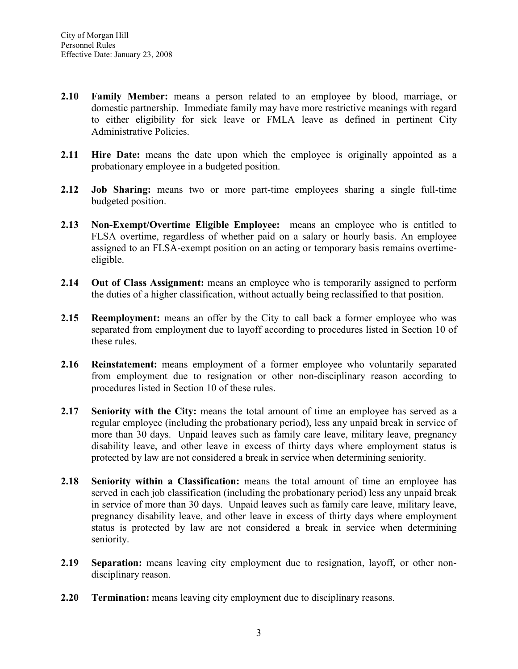- 2.10 Family Member: means a person related to an employee by blood, marriage, or domestic partnership. Immediate family may have more restrictive meanings with regard to either eligibility for sick leave or FMLA leave as defined in pertinent City Administrative Policies.
- 2.11 Hire Date: means the date upon which the employee is originally appointed as a probationary employee in a budgeted position.
- 2.12 Job Sharing: means two or more part-time employees sharing a single full-time budgeted position.
- 2.13 Non-Exempt/Overtime Eligible Employee: means an employee who is entitled to FLSA overtime, regardless of whether paid on a salary or hourly basis. An employee assigned to an FLSA-exempt position on an acting or temporary basis remains overtimeeligible.
- 2.14 Out of Class Assignment: means an employee who is temporarily assigned to perform the duties of a higher classification, without actually being reclassified to that position.
- 2.15 Reemployment: means an offer by the City to call back a former employee who was separated from employment due to layoff according to procedures listed in Section 10 of these rules.
- 2.16 Reinstatement: means employment of a former employee who voluntarily separated from employment due to resignation or other non-disciplinary reason according to procedures listed in Section 10 of these rules.
- 2.17 Seniority with the City: means the total amount of time an employee has served as a regular employee (including the probationary period), less any unpaid break in service of more than 30 days. Unpaid leaves such as family care leave, military leave, pregnancy disability leave, and other leave in excess of thirty days where employment status is protected by law are not considered a break in service when determining seniority.
- 2.18 Seniority within a Classification: means the total amount of time an employee has served in each job classification (including the probationary period) less any unpaid break in service of more than 30 days. Unpaid leaves such as family care leave, military leave, pregnancy disability leave, and other leave in excess of thirty days where employment status is protected by law are not considered a break in service when determining seniority.
- 2.19 Separation: means leaving city employment due to resignation, layoff, or other nondisciplinary reason.
- 2.20 Termination: means leaving city employment due to disciplinary reasons.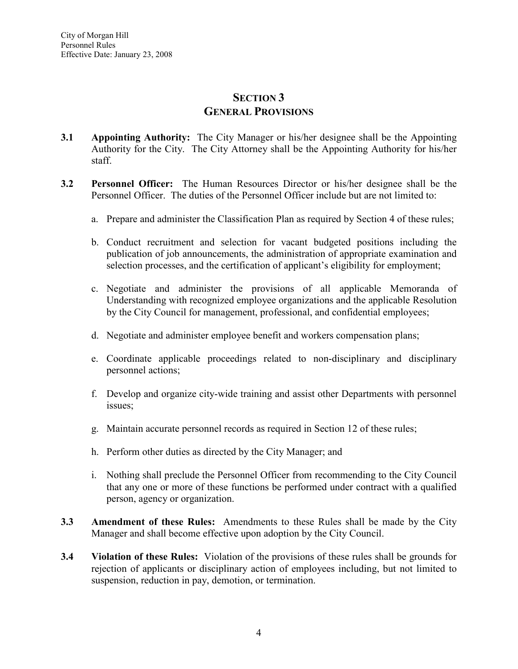## SECTION<sub>3</sub> GENERAL PROVISIONS

- 3.1 Appointing Authority: The City Manager or his/her designee shall be the Appointing Authority for the City. The City Attorney shall be the Appointing Authority for his/her staff.
- 3.2 Personnel Officer: The Human Resources Director or his/her designee shall be the Personnel Officer. The duties of the Personnel Officer include but are not limited to:
	- a. Prepare and administer the Classification Plan as required by Section 4 of these rules;
	- b. Conduct recruitment and selection for vacant budgeted positions including the publication of job announcements, the administration of appropriate examination and selection processes, and the certification of applicant's eligibility for employment;
	- c. Negotiate and administer the provisions of all applicable Memoranda of Understanding with recognized employee organizations and the applicable Resolution by the City Council for management, professional, and confidential employees;
	- d. Negotiate and administer employee benefit and workers compensation plans;
	- e. Coordinate applicable proceedings related to non-disciplinary and disciplinary personnel actions;
	- f. Develop and organize city-wide training and assist other Departments with personnel issues;
	- g. Maintain accurate personnel records as required in Section 12 of these rules;
	- h. Perform other duties as directed by the City Manager; and
	- i. Nothing shall preclude the Personnel Officer from recommending to the City Council that any one or more of these functions be performed under contract with a qualified person, agency or organization.
- 3.3 Amendment of these Rules: Amendments to these Rules shall be made by the City Manager and shall become effective upon adoption by the City Council.
- 3.4 Violation of these Rules: Violation of the provisions of these rules shall be grounds for rejection of applicants or disciplinary action of employees including, but not limited to suspension, reduction in pay, demotion, or termination.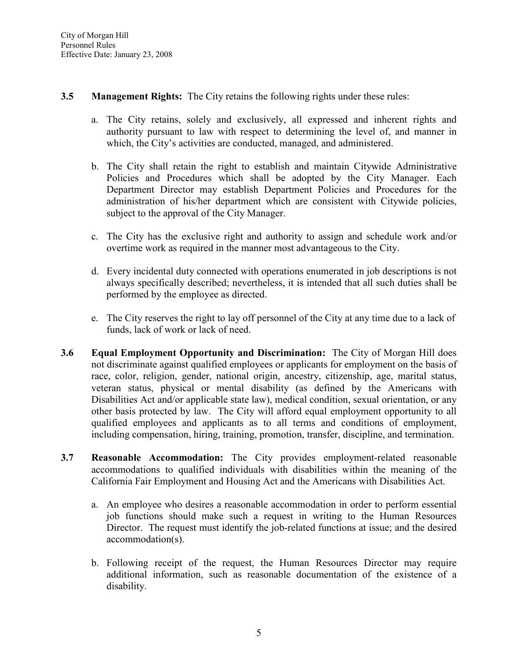#### 3.5 Management Rights: The City retains the following rights under these rules:

- a. The City retains, solely and exclusively, all expressed and inherent rights and authority pursuant to law with respect to determining the level of, and manner in which, the City's activities are conducted, managed, and administered.
- b. The City shall retain the right to establish and maintain Citywide Administrative Policies and Procedures which shall be adopted by the City Manager. Each Department Director may establish Department Policies and Procedures for the administration of his/her department which are consistent with Citywide policies, subject to the approval of the City Manager.
- c. The City has the exclusive right and authority to assign and schedule work and/or overtime work as required in the manner most advantageous to the City.
- d. Every incidental duty connected with operations enumerated in job descriptions is not always specifically described; nevertheless, it is intended that all such duties shall be performed by the employee as directed.
- e. The City reserves the right to lay off personnel of the City at any time due to a lack of funds, lack of work or lack of need.
- 3.6 Equal Employment Opportunity and Discrimination: The City of Morgan Hill does not discriminate against qualified employees or applicants for employment on the basis of race, color, religion, gender, national origin, ancestry, citizenship, age, marital status, veteran status, physical or mental disability (as defined by the Americans with Disabilities Act and/or applicable state law), medical condition, sexual orientation, or any other basis protected by law. The City will afford equal employment opportunity to all qualified employees and applicants as to all terms and conditions of employment, including compensation, hiring, training, promotion, transfer, discipline, and termination.
- 3.7 Reasonable Accommodation: The City provides employment-related reasonable accommodations to qualified individuals with disabilities within the meaning of the California Fair Employment and Housing Act and the Americans with Disabilities Act.
	- a. An employee who desires a reasonable accommodation in order to perform essential job functions should make such a request in writing to the Human Resources Director. The request must identify the job-related functions at issue; and the desired accommodation(s).
	- b. Following receipt of the request, the Human Resources Director may require additional information, such as reasonable documentation of the existence of a disability.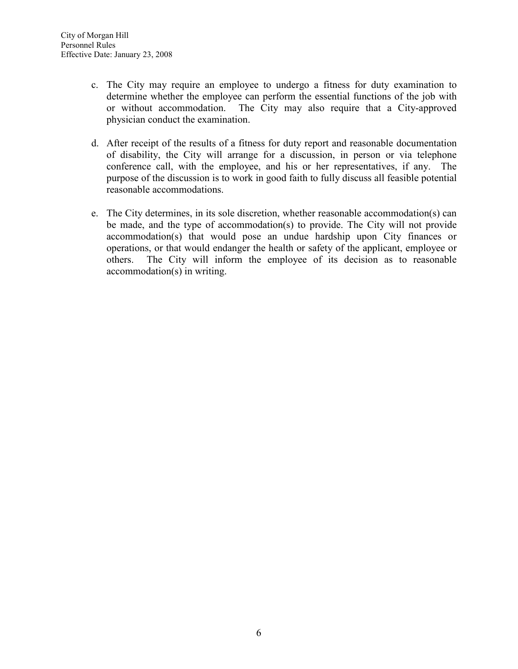- c. The City may require an employee to undergo a fitness for duty examination to determine whether the employee can perform the essential functions of the job with or without accommodation. The City may also require that a City-approved physician conduct the examination.
- d. After receipt of the results of a fitness for duty report and reasonable documentation of disability, the City will arrange for a discussion, in person or via telephone conference call, with the employee, and his or her representatives, if any. The purpose of the discussion is to work in good faith to fully discuss all feasible potential reasonable accommodations.
- e. The City determines, in its sole discretion, whether reasonable accommodation(s) can be made, and the type of accommodation(s) to provide. The City will not provide accommodation(s) that would pose an undue hardship upon City finances or operations, or that would endanger the health or safety of the applicant, employee or others. The City will inform the employee of its decision as to reasonable accommodation(s) in writing.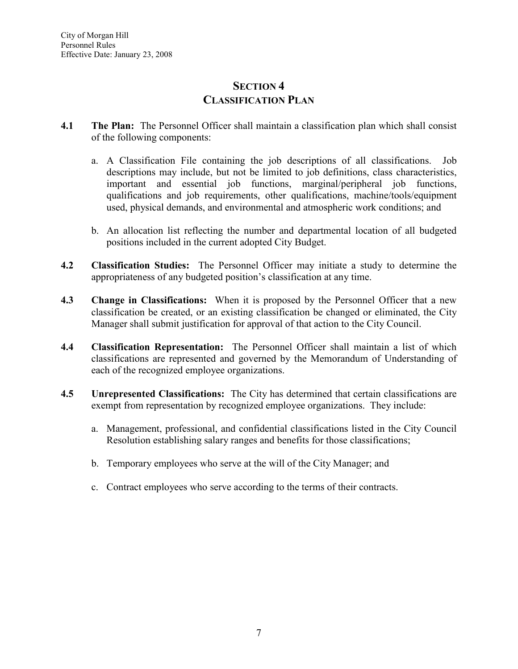## SECTION 4 CLASSIFICATION PLAN

- 4.1 The Plan: The Personnel Officer shall maintain a classification plan which shall consist of the following components:
	- a. A Classification File containing the job descriptions of all classifications. Job descriptions may include, but not be limited to job definitions, class characteristics, important and essential job functions, marginal/peripheral job functions, qualifications and job requirements, other qualifications, machine/tools/equipment used, physical demands, and environmental and atmospheric work conditions; and
	- b. An allocation list reflecting the number and departmental location of all budgeted positions included in the current adopted City Budget.
- 4.2 Classification Studies: The Personnel Officer may initiate a study to determine the appropriateness of any budgeted position's classification at any time.
- 4.3 Change in Classifications: When it is proposed by the Personnel Officer that a new classification be created, or an existing classification be changed or eliminated, the City Manager shall submit justification for approval of that action to the City Council.
- 4.4 Classification Representation: The Personnel Officer shall maintain a list of which classifications are represented and governed by the Memorandum of Understanding of each of the recognized employee organizations.
- 4.5 Unrepresented Classifications: The City has determined that certain classifications are exempt from representation by recognized employee organizations. They include:
	- a. Management, professional, and confidential classifications listed in the City Council Resolution establishing salary ranges and benefits for those classifications;
	- b. Temporary employees who serve at the will of the City Manager; and
	- c. Contract employees who serve according to the terms of their contracts.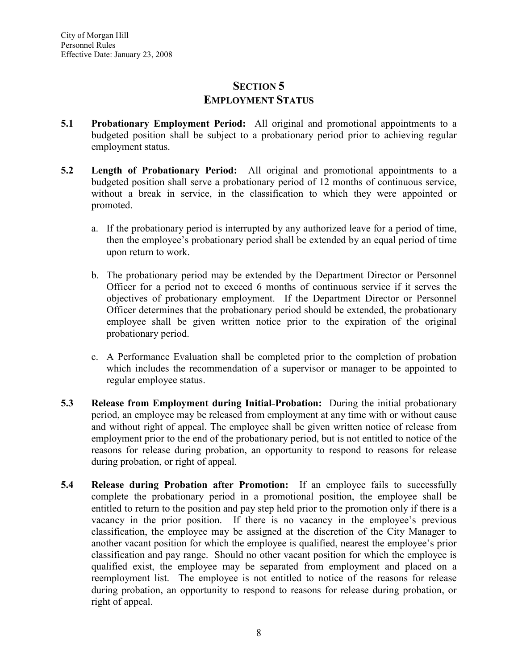## SECTION<sub>5</sub> EMPLOYMENT STATUS

- 5.1 Probationary Employment Period: All original and promotional appointments to a budgeted position shall be subject to a probationary period prior to achieving regular employment status.
- 5.2 Length of Probationary Period: All original and promotional appointments to a budgeted position shall serve a probationary period of 12 months of continuous service, without a break in service, in the classification to which they were appointed or promoted.
	- a. If the probationary period is interrupted by any authorized leave for a period of time, then the employee's probationary period shall be extended by an equal period of time upon return to work.
	- b. The probationary period may be extended by the Department Director or Personnel Officer for a period not to exceed 6 months of continuous service if it serves the objectives of probationary employment. If the Department Director or Personnel Officer determines that the probationary period should be extended, the probationary employee shall be given written notice prior to the expiration of the original probationary period.
	- c. A Performance Evaluation shall be completed prior to the completion of probation which includes the recommendation of a supervisor or manager to be appointed to regular employee status.
- 5.3 Release from Employment during Initial Probation: During the initial probationary period, an employee may be released from employment at any time with or without cause and without right of appeal. The employee shall be given written notice of release from employment prior to the end of the probationary period, but is not entitled to notice of the reasons for release during probation, an opportunity to respond to reasons for release during probation, or right of appeal.
- 5.4 Release during Probation after Promotion: If an employee fails to successfully complete the probationary period in a promotional position, the employee shall be entitled to return to the position and pay step held prior to the promotion only if there is a vacancy in the prior position. If there is no vacancy in the employee's previous classification, the employee may be assigned at the discretion of the City Manager to another vacant position for which the employee is qualified, nearest the employee's prior classification and pay range. Should no other vacant position for which the employee is qualified exist, the employee may be separated from employment and placed on a reemployment list. The employee is not entitled to notice of the reasons for release during probation, an opportunity to respond to reasons for release during probation, or right of appeal.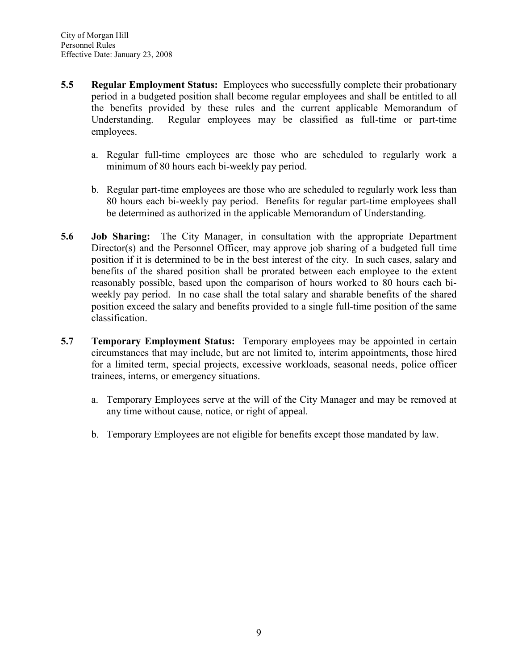- 5.5 Regular Employment Status: Employees who successfully complete their probationary period in a budgeted position shall become regular employees and shall be entitled to all the benefits provided by these rules and the current applicable Memorandum of Understanding. Regular employees may be classified as full-time or part-time employees.
	- a. Regular full-time employees are those who are scheduled to regularly work a minimum of 80 hours each bi-weekly pay period.
	- b. Regular part-time employees are those who are scheduled to regularly work less than 80 hours each bi-weekly pay period. Benefits for regular part-time employees shall be determined as authorized in the applicable Memorandum of Understanding.
- 5.6 Job Sharing: The City Manager, in consultation with the appropriate Department Director(s) and the Personnel Officer, may approve job sharing of a budgeted full time position if it is determined to be in the best interest of the city. In such cases, salary and benefits of the shared position shall be prorated between each employee to the extent reasonably possible, based upon the comparison of hours worked to 80 hours each biweekly pay period. In no case shall the total salary and sharable benefits of the shared position exceed the salary and benefits provided to a single full-time position of the same classification.
- 5.7 Temporary Employment Status: Temporary employees may be appointed in certain circumstances that may include, but are not limited to, interim appointments, those hired for a limited term, special projects, excessive workloads, seasonal needs, police officer trainees, interns, or emergency situations.
	- a. Temporary Employees serve at the will of the City Manager and may be removed at any time without cause, notice, or right of appeal.
	- b. Temporary Employees are not eligible for benefits except those mandated by law.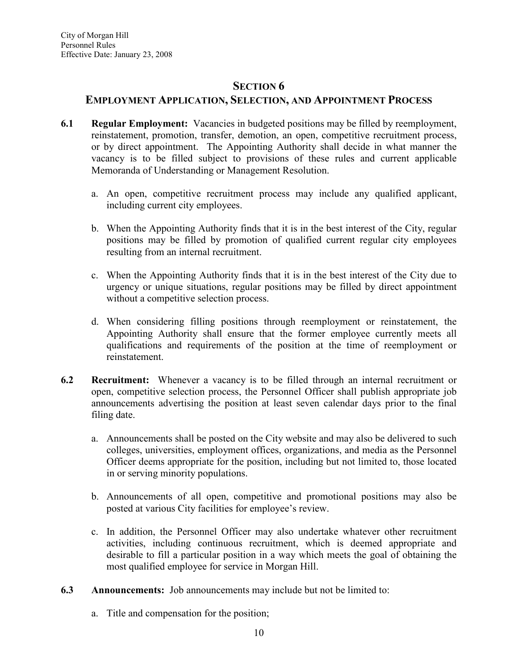#### SECTION<sub>6</sub>

## EMPLOYMENT APPLICATION, SELECTION, AND APPOINTMENT PROCESS

- 6.1 Regular Employment: Vacancies in budgeted positions may be filled by reemployment, reinstatement, promotion, transfer, demotion, an open, competitive recruitment process, or by direct appointment. The Appointing Authority shall decide in what manner the vacancy is to be filled subject to provisions of these rules and current applicable Memoranda of Understanding or Management Resolution.
	- a. An open, competitive recruitment process may include any qualified applicant, including current city employees.
	- b. When the Appointing Authority finds that it is in the best interest of the City, regular positions may be filled by promotion of qualified current regular city employees resulting from an internal recruitment.
	- c. When the Appointing Authority finds that it is in the best interest of the City due to urgency or unique situations, regular positions may be filled by direct appointment without a competitive selection process.
	- d. When considering filling positions through reemployment or reinstatement, the Appointing Authority shall ensure that the former employee currently meets all qualifications and requirements of the position at the time of reemployment or reinstatement.
- 6.2 Recruitment: Whenever a vacancy is to be filled through an internal recruitment or open, competitive selection process, the Personnel Officer shall publish appropriate job announcements advertising the position at least seven calendar days prior to the final filing date.
	- a. Announcements shall be posted on the City website and may also be delivered to such colleges, universities, employment offices, organizations, and media as the Personnel Officer deems appropriate for the position, including but not limited to, those located in or serving minority populations.
	- b. Announcements of all open, competitive and promotional positions may also be posted at various City facilities for employee's review.
	- c. In addition, the Personnel Officer may also undertake whatever other recruitment activities, including continuous recruitment, which is deemed appropriate and desirable to fill a particular position in a way which meets the goal of obtaining the most qualified employee for service in Morgan Hill.
- 6.3 Announcements: Job announcements may include but not be limited to:
	- a. Title and compensation for the position;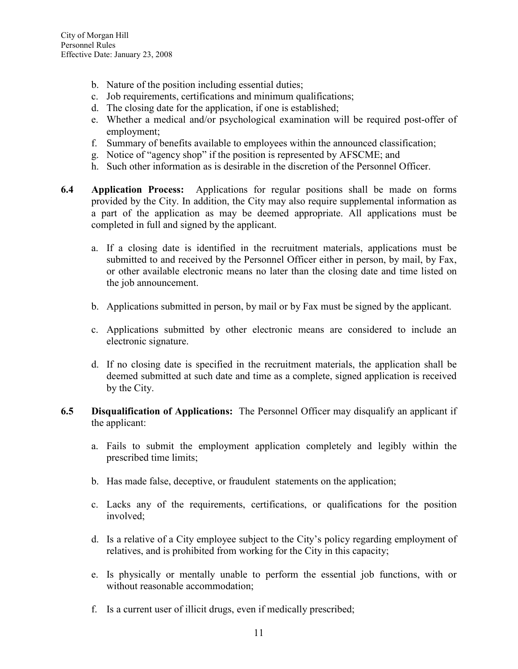- b. Nature of the position including essential duties;
- c. Job requirements, certifications and minimum qualifications;
- d. The closing date for the application, if one is established;
- e. Whether a medical and/or psychological examination will be required post-offer of employment;
- f. Summary of benefits available to employees within the announced classification;
- g. Notice of "agency shop" if the position is represented by AFSCME; and
- h. Such other information as is desirable in the discretion of the Personnel Officer.
- 6.4 Application Process: Applications for regular positions shall be made on forms provided by the City. In addition, the City may also require supplemental information as a part of the application as may be deemed appropriate. All applications must be completed in full and signed by the applicant.
	- a. If a closing date is identified in the recruitment materials, applications must be submitted to and received by the Personnel Officer either in person, by mail, by Fax, or other available electronic means no later than the closing date and time listed on the job announcement.
	- b. Applications submitted in person, by mail or by Fax must be signed by the applicant.
	- c. Applications submitted by other electronic means are considered to include an electronic signature.
	- d. If no closing date is specified in the recruitment materials, the application shall be deemed submitted at such date and time as a complete, signed application is received by the City.
- 6.5 Disqualification of Applications: The Personnel Officer may disqualify an applicant if the applicant:
	- a. Fails to submit the employment application completely and legibly within the prescribed time limits;
	- b. Has made false, deceptive, or fraudulent statements on the application;
	- c. Lacks any of the requirements, certifications, or qualifications for the position involved;
	- d. Is a relative of a City employee subject to the City's policy regarding employment of relatives, and is prohibited from working for the City in this capacity;
	- e. Is physically or mentally unable to perform the essential job functions, with or without reasonable accommodation;
	- f. Is a current user of illicit drugs, even if medically prescribed;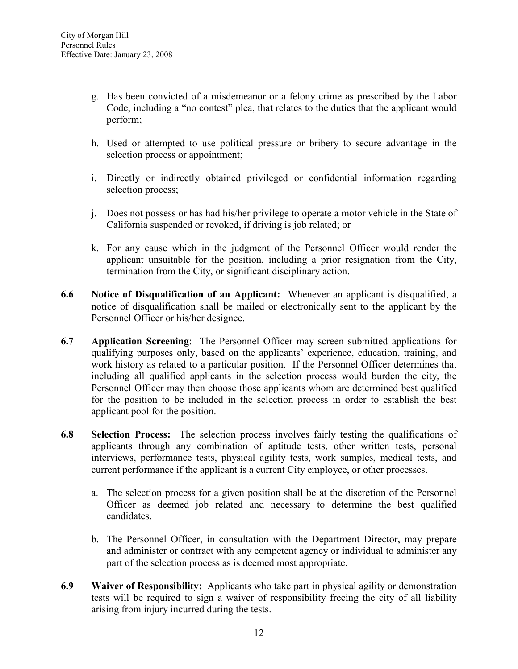- g. Has been convicted of a misdemeanor or a felony crime as prescribed by the Labor Code, including a "no contest" plea, that relates to the duties that the applicant would perform;
- h. Used or attempted to use political pressure or bribery to secure advantage in the selection process or appointment;
- i. Directly or indirectly obtained privileged or confidential information regarding selection process;
- j. Does not possess or has had his/her privilege to operate a motor vehicle in the State of California suspended or revoked, if driving is job related; or
- k. For any cause which in the judgment of the Personnel Officer would render the applicant unsuitable for the position, including a prior resignation from the City, termination from the City, or significant disciplinary action.
- 6.6 Notice of Disqualification of an Applicant: Whenever an applicant is disqualified, a notice of disqualification shall be mailed or electronically sent to the applicant by the Personnel Officer or his/her designee.
- 6.7 Application Screening: The Personnel Officer may screen submitted applications for qualifying purposes only, based on the applicants' experience, education, training, and work history as related to a particular position. If the Personnel Officer determines that including all qualified applicants in the selection process would burden the city, the Personnel Officer may then choose those applicants whom are determined best qualified for the position to be included in the selection process in order to establish the best applicant pool for the position.
- 6.8 Selection Process: The selection process involves fairly testing the qualifications of applicants through any combination of aptitude tests, other written tests, personal interviews, performance tests, physical agility tests, work samples, medical tests, and current performance if the applicant is a current City employee, or other processes.
	- a. The selection process for a given position shall be at the discretion of the Personnel Officer as deemed job related and necessary to determine the best qualified candidates.
	- b. The Personnel Officer, in consultation with the Department Director, may prepare and administer or contract with any competent agency or individual to administer any part of the selection process as is deemed most appropriate.
- 6.9 Waiver of Responsibility: Applicants who take part in physical agility or demonstration tests will be required to sign a waiver of responsibility freeing the city of all liability arising from injury incurred during the tests.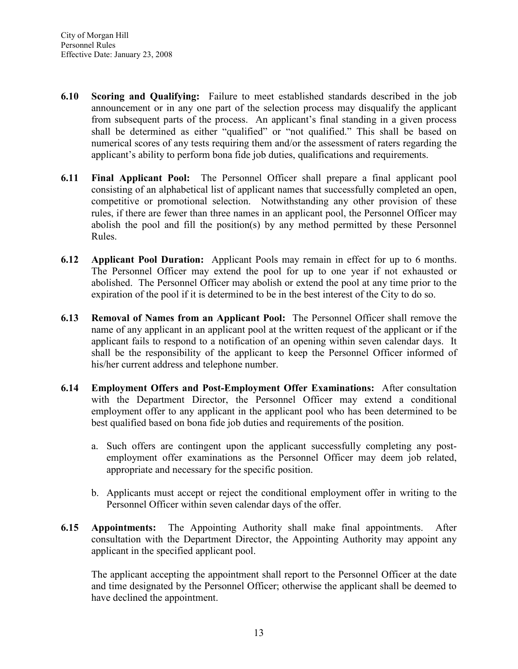- 6.10 Scoring and Qualifying: Failure to meet established standards described in the job announcement or in any one part of the selection process may disqualify the applicant from subsequent parts of the process. An applicant's final standing in a given process shall be determined as either "qualified" or "not qualified." This shall be based on numerical scores of any tests requiring them and/or the assessment of raters regarding the applicant's ability to perform bona fide job duties, qualifications and requirements.
- 6.11 Final Applicant Pool: The Personnel Officer shall prepare a final applicant pool consisting of an alphabetical list of applicant names that successfully completed an open, competitive or promotional selection. Notwithstanding any other provision of these rules, if there are fewer than three names in an applicant pool, the Personnel Officer may abolish the pool and fill the position(s) by any method permitted by these Personnel Rules.
- 6.12 Applicant Pool Duration: Applicant Pools may remain in effect for up to 6 months. The Personnel Officer may extend the pool for up to one year if not exhausted or abolished. The Personnel Officer may abolish or extend the pool at any time prior to the expiration of the pool if it is determined to be in the best interest of the City to do so.
- 6.13 Removal of Names from an Applicant Pool: The Personnel Officer shall remove the name of any applicant in an applicant pool at the written request of the applicant or if the applicant fails to respond to a notification of an opening within seven calendar days. It shall be the responsibility of the applicant to keep the Personnel Officer informed of his/her current address and telephone number.
- 6.14 Employment Offers and Post-Employment Offer Examinations: After consultation with the Department Director, the Personnel Officer may extend a conditional employment offer to any applicant in the applicant pool who has been determined to be best qualified based on bona fide job duties and requirements of the position.
	- a. Such offers are contingent upon the applicant successfully completing any postemployment offer examinations as the Personnel Officer may deem job related, appropriate and necessary for the specific position.
	- b. Applicants must accept or reject the conditional employment offer in writing to the Personnel Officer within seven calendar days of the offer.
- 6.15 Appointments: The Appointing Authority shall make final appointments. After consultation with the Department Director, the Appointing Authority may appoint any applicant in the specified applicant pool.

The applicant accepting the appointment shall report to the Personnel Officer at the date and time designated by the Personnel Officer; otherwise the applicant shall be deemed to have declined the appointment.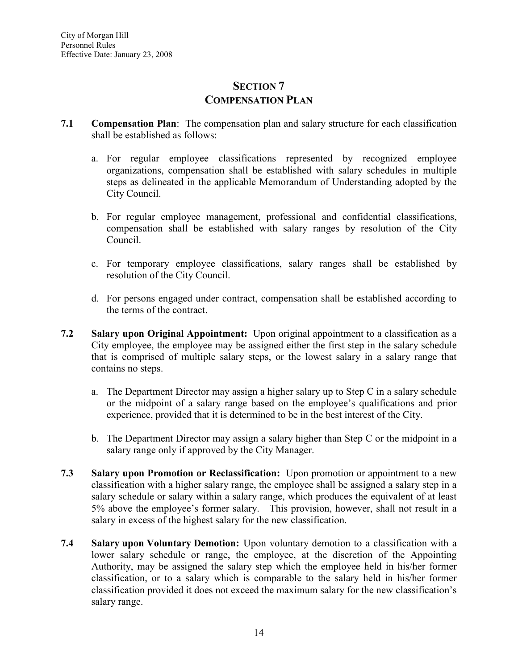## SECTION<sub>7</sub> COMPENSATION PLAN

- 7.1 Compensation Plan: The compensation plan and salary structure for each classification shall be established as follows:
	- a. For regular employee classifications represented by recognized employee organizations, compensation shall be established with salary schedules in multiple steps as delineated in the applicable Memorandum of Understanding adopted by the City Council.
	- b. For regular employee management, professional and confidential classifications, compensation shall be established with salary ranges by resolution of the City Council.
	- c. For temporary employee classifications, salary ranges shall be established by resolution of the City Council.
	- d. For persons engaged under contract, compensation shall be established according to the terms of the contract.
- 7.2 Salary upon Original Appointment: Upon original appointment to a classification as a City employee, the employee may be assigned either the first step in the salary schedule that is comprised of multiple salary steps, or the lowest salary in a salary range that contains no steps.
	- a. The Department Director may assign a higher salary up to Step C in a salary schedule or the midpoint of a salary range based on the employee's qualifications and prior experience, provided that it is determined to be in the best interest of the City.
	- b. The Department Director may assign a salary higher than Step C or the midpoint in a salary range only if approved by the City Manager.
- 7.3 Salary upon Promotion or Reclassification: Upon promotion or appointment to a new classification with a higher salary range, the employee shall be assigned a salary step in a salary schedule or salary within a salary range, which produces the equivalent of at least 5% above the employee's former salary. This provision, however, shall not result in a salary in excess of the highest salary for the new classification.
- 7.4 Salary upon Voluntary Demotion: Upon voluntary demotion to a classification with a lower salary schedule or range, the employee, at the discretion of the Appointing Authority, may be assigned the salary step which the employee held in his/her former classification, or to a salary which is comparable to the salary held in his/her former classification provided it does not exceed the maximum salary for the new classification's salary range.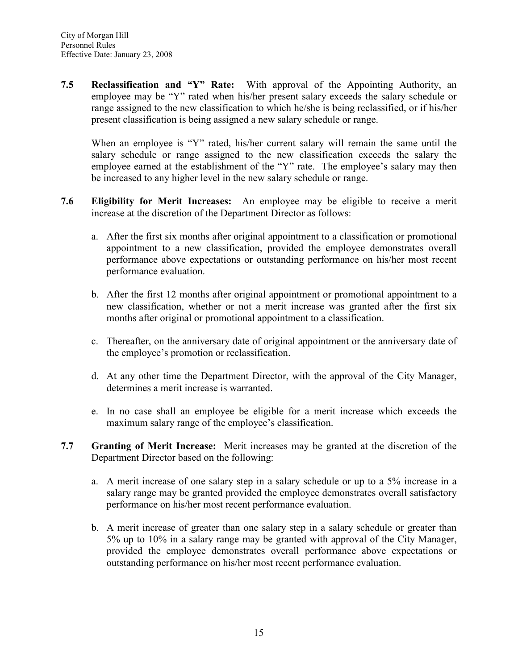7.5 Reclassification and "Y" Rate: With approval of the Appointing Authority, an employee may be "Y" rated when his/her present salary exceeds the salary schedule or range assigned to the new classification to which he/she is being reclassified, or if his/her present classification is being assigned a new salary schedule or range.

When an employee is "Y" rated, his/her current salary will remain the same until the salary schedule or range assigned to the new classification exceeds the salary the employee earned at the establishment of the "Y" rate. The employee's salary may then be increased to any higher level in the new salary schedule or range.

- 7.6 Eligibility for Merit Increases: An employee may be eligible to receive a merit increase at the discretion of the Department Director as follows:
	- a. After the first six months after original appointment to a classification or promotional appointment to a new classification, provided the employee demonstrates overall performance above expectations or outstanding performance on his/her most recent performance evaluation.
	- b. After the first 12 months after original appointment or promotional appointment to a new classification, whether or not a merit increase was granted after the first six months after original or promotional appointment to a classification.
	- c. Thereafter, on the anniversary date of original appointment or the anniversary date of the employee's promotion or reclassification.
	- d. At any other time the Department Director, with the approval of the City Manager, determines a merit increase is warranted.
	- e. In no case shall an employee be eligible for a merit increase which exceeds the maximum salary range of the employee's classification.
- 7.7 Granting of Merit Increase: Merit increases may be granted at the discretion of the Department Director based on the following:
	- a. A merit increase of one salary step in a salary schedule or up to a 5% increase in a salary range may be granted provided the employee demonstrates overall satisfactory performance on his/her most recent performance evaluation.
	- b. A merit increase of greater than one salary step in a salary schedule or greater than 5% up to 10% in a salary range may be granted with approval of the City Manager, provided the employee demonstrates overall performance above expectations or outstanding performance on his/her most recent performance evaluation.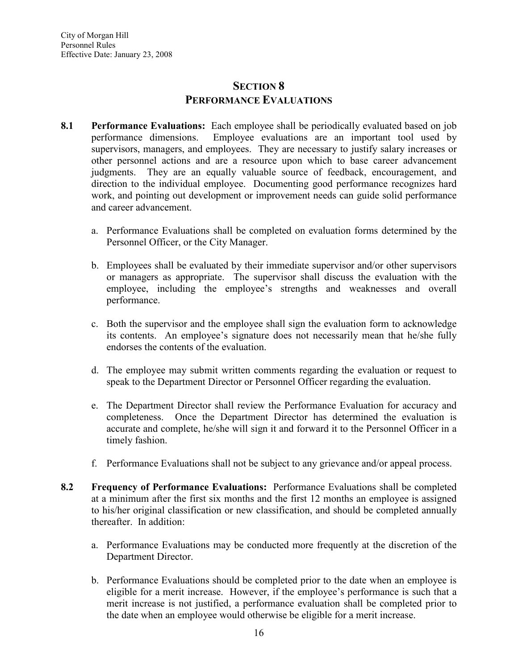#### SECTION<sub>8</sub> PERFORMANCE EVALUATIONS

- 8.1 Performance Evaluations: Each employee shall be periodically evaluated based on job performance dimensions. Employee evaluations are an important tool used by supervisors, managers, and employees. They are necessary to justify salary increases or other personnel actions and are a resource upon which to base career advancement judgments. They are an equally valuable source of feedback, encouragement, and direction to the individual employee. Documenting good performance recognizes hard work, and pointing out development or improvement needs can guide solid performance and career advancement.
	- a. Performance Evaluations shall be completed on evaluation forms determined by the Personnel Officer, or the City Manager.
	- b. Employees shall be evaluated by their immediate supervisor and/or other supervisors or managers as appropriate. The supervisor shall discuss the evaluation with the employee, including the employee's strengths and weaknesses and overall performance.
	- c. Both the supervisor and the employee shall sign the evaluation form to acknowledge its contents. An employee's signature does not necessarily mean that he/she fully endorses the contents of the evaluation.
	- d. The employee may submit written comments regarding the evaluation or request to speak to the Department Director or Personnel Officer regarding the evaluation.
	- e. The Department Director shall review the Performance Evaluation for accuracy and completeness. Once the Department Director has determined the evaluation is accurate and complete, he/she will sign it and forward it to the Personnel Officer in a timely fashion.
	- f. Performance Evaluations shall not be subject to any grievance and/or appeal process.
- 8.2 Frequency of Performance Evaluations: Performance Evaluations shall be completed at a minimum after the first six months and the first 12 months an employee is assigned to his/her original classification or new classification, and should be completed annually thereafter. In addition:
	- a. Performance Evaluations may be conducted more frequently at the discretion of the Department Director.
	- b. Performance Evaluations should be completed prior to the date when an employee is eligible for a merit increase. However, if the employee's performance is such that a merit increase is not justified, a performance evaluation shall be completed prior to the date when an employee would otherwise be eligible for a merit increase.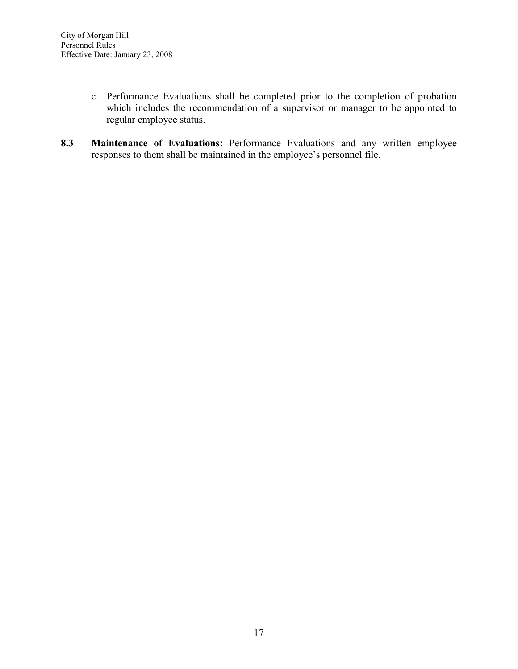- c. Performance Evaluations shall be completed prior to the completion of probation which includes the recommendation of a supervisor or manager to be appointed to regular employee status.
- 8.3 Maintenance of Evaluations: Performance Evaluations and any written employee responses to them shall be maintained in the employee's personnel file.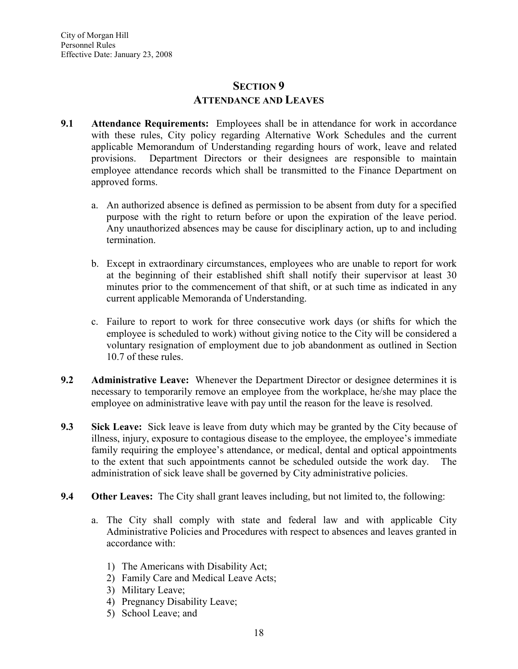## SECTION<sub>9</sub> ATTENDANCE AND LEAVES

- 9.1 Attendance Requirements: Employees shall be in attendance for work in accordance with these rules, City policy regarding Alternative Work Schedules and the current applicable Memorandum of Understanding regarding hours of work, leave and related provisions. Department Directors or their designees are responsible to maintain employee attendance records which shall be transmitted to the Finance Department on approved forms.
	- a. An authorized absence is defined as permission to be absent from duty for a specified purpose with the right to return before or upon the expiration of the leave period. Any unauthorized absences may be cause for disciplinary action, up to and including termination.
	- b. Except in extraordinary circumstances, employees who are unable to report for work at the beginning of their established shift shall notify their supervisor at least 30 minutes prior to the commencement of that shift, or at such time as indicated in any current applicable Memoranda of Understanding.
	- c. Failure to report to work for three consecutive work days (or shifts for which the employee is scheduled to work) without giving notice to the City will be considered a voluntary resignation of employment due to job abandonment as outlined in Section 10.7 of these rules.
- 9.2 Administrative Leave: Whenever the Department Director or designee determines it is necessary to temporarily remove an employee from the workplace, he/she may place the employee on administrative leave with pay until the reason for the leave is resolved.
- 9.3 Sick Leave: Sick leave is leave from duty which may be granted by the City because of illness, injury, exposure to contagious disease to the employee, the employee's immediate family requiring the employee's attendance, or medical, dental and optical appointments to the extent that such appointments cannot be scheduled outside the work day. The administration of sick leave shall be governed by City administrative policies.
- 9.4 Other Leaves: The City shall grant leaves including, but not limited to, the following:
	- a. The City shall comply with state and federal law and with applicable City Administrative Policies and Procedures with respect to absences and leaves granted in accordance with:
		- 1) The Americans with Disability Act;
		- 2) Family Care and Medical Leave Acts;
		- 3) Military Leave;
		- 4) Pregnancy Disability Leave;
		- 5) School Leave; and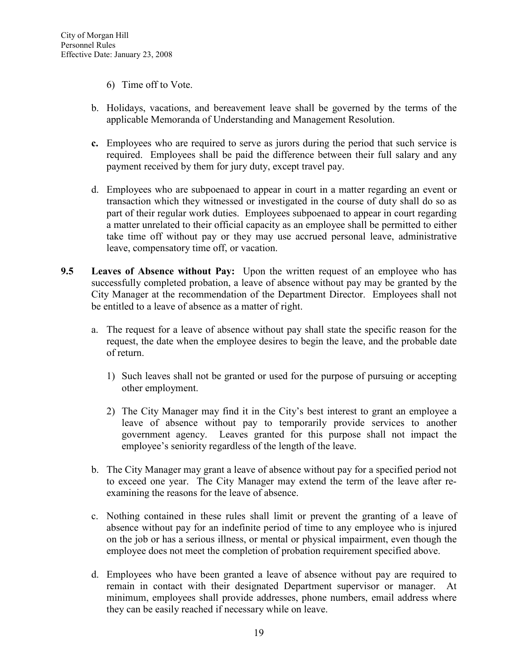- 6) Time off to Vote.
- b. Holidays, vacations, and bereavement leave shall be governed by the terms of the applicable Memoranda of Understanding and Management Resolution.
- c. Employees who are required to serve as jurors during the period that such service is required. Employees shall be paid the difference between their full salary and any payment received by them for jury duty, except travel pay.
- d. Employees who are subpoenaed to appear in court in a matter regarding an event or transaction which they witnessed or investigated in the course of duty shall do so as part of their regular work duties. Employees subpoenaed to appear in court regarding a matter unrelated to their official capacity as an employee shall be permitted to either take time off without pay or they may use accrued personal leave, administrative leave, compensatory time off, or vacation.
- 9.5 Leaves of Absence without Pay: Upon the written request of an employee who has successfully completed probation, a leave of absence without pay may be granted by the City Manager at the recommendation of the Department Director. Employees shall not be entitled to a leave of absence as a matter of right.
	- a. The request for a leave of absence without pay shall state the specific reason for the request, the date when the employee desires to begin the leave, and the probable date of return.
		- 1) Such leaves shall not be granted or used for the purpose of pursuing or accepting other employment.
		- 2) The City Manager may find it in the City's best interest to grant an employee a leave of absence without pay to temporarily provide services to another government agency. Leaves granted for this purpose shall not impact the employee's seniority regardless of the length of the leave.
	- b. The City Manager may grant a leave of absence without pay for a specified period not to exceed one year. The City Manager may extend the term of the leave after reexamining the reasons for the leave of absence.
	- c. Nothing contained in these rules shall limit or prevent the granting of a leave of absence without pay for an indefinite period of time to any employee who is injured on the job or has a serious illness, or mental or physical impairment, even though the employee does not meet the completion of probation requirement specified above.
	- d. Employees who have been granted a leave of absence without pay are required to remain in contact with their designated Department supervisor or manager. At minimum, employees shall provide addresses, phone numbers, email address where they can be easily reached if necessary while on leave.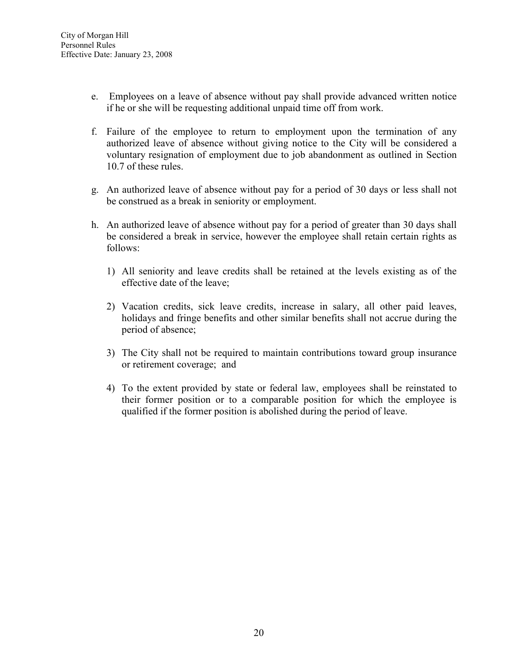- e. Employees on a leave of absence without pay shall provide advanced written notice if he or she will be requesting additional unpaid time off from work.
- f. Failure of the employee to return to employment upon the termination of any authorized leave of absence without giving notice to the City will be considered a voluntary resignation of employment due to job abandonment as outlined in Section 10.7 of these rules.
- g. An authorized leave of absence without pay for a period of 30 days or less shall not be construed as a break in seniority or employment.
- h. An authorized leave of absence without pay for a period of greater than 30 days shall be considered a break in service, however the employee shall retain certain rights as follows:
	- 1) All seniority and leave credits shall be retained at the levels existing as of the effective date of the leave;
	- 2) Vacation credits, sick leave credits, increase in salary, all other paid leaves, holidays and fringe benefits and other similar benefits shall not accrue during the period of absence;
	- 3) The City shall not be required to maintain contributions toward group insurance or retirement coverage; and
	- 4) To the extent provided by state or federal law, employees shall be reinstated to their former position or to a comparable position for which the employee is qualified if the former position is abolished during the period of leave.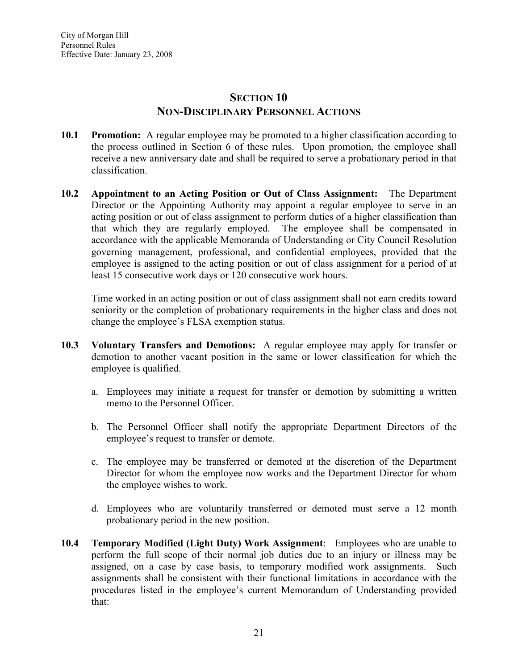## SECTION 10 NON-DISCIPLINARY PERSONNEL ACTIONS

- 10.1 Promotion: A regular employee may be promoted to a higher classification according to the process outlined in Section 6 of these rules. Upon promotion, the employee shall receive a new anniversary date and shall be required to serve a probationary period in that classification.
- 10.2 Appointment to an Acting Position or Out of Class Assignment: The Department Director or the Appointing Authority may appoint a regular employee to serve in an acting position or out of class assignment to perform duties of a higher classification than that which they are regularly employed. The employee shall be compensated in accordance with the applicable Memoranda of Understanding or City Council Resolution governing management, professional, and confidential employees, provided that the employee is assigned to the acting position or out of class assignment for a period of at least 15 consecutive work days or 120 consecutive work hours.

Time worked in an acting position or out of class assignment shall not earn credits toward seniority or the completion of probationary requirements in the higher class and does not change the employee's FLSA exemption status.

- 10.3 Voluntary Transfers and Demotions: A regular employee may apply for transfer or demotion to another vacant position in the same or lower classification for which the employee is qualified.
	- a. Employees may initiate a request for transfer or demotion by submitting a written memo to the Personnel Officer.
	- b. The Personnel Officer shall notify the appropriate Department Directors of the employee's request to transfer or demote.
	- c. The employee may be transferred or demoted at the discretion of the Department Director for whom the employee now works and the Department Director for whom the employee wishes to work.
	- d. Employees who are voluntarily transferred or demoted must serve a 12 month probationary period in the new position.
- 10.4 Temporary Modified (Light Duty) Work Assignment: Employees who are unable to perform the full scope of their normal job duties due to an injury or illness may be assigned, on a case by case basis, to temporary modified work assignments. Such assignments shall be consistent with their functional limitations in accordance with the procedures listed in the employee's current Memorandum of Understanding provided that: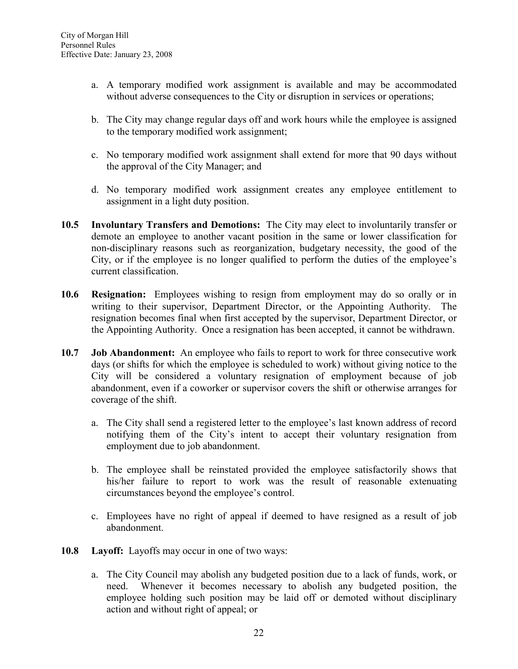- a. A temporary modified work assignment is available and may be accommodated without adverse consequences to the City or disruption in services or operations;
- b. The City may change regular days off and work hours while the employee is assigned to the temporary modified work assignment;
- c. No temporary modified work assignment shall extend for more that 90 days without the approval of the City Manager; and
- d. No temporary modified work assignment creates any employee entitlement to assignment in a light duty position.
- 10.5 Involuntary Transfers and Demotions: The City may elect to involuntarily transfer or demote an employee to another vacant position in the same or lower classification for non-disciplinary reasons such as reorganization, budgetary necessity, the good of the City, or if the employee is no longer qualified to perform the duties of the employee's current classification.
- 10.6 Resignation: Employees wishing to resign from employment may do so orally or in writing to their supervisor, Department Director, or the Appointing Authority. The resignation becomes final when first accepted by the supervisor, Department Director, or the Appointing Authority. Once a resignation has been accepted, it cannot be withdrawn.
- 10.7 Job Abandonment: An employee who fails to report to work for three consecutive work days (or shifts for which the employee is scheduled to work) without giving notice to the City will be considered a voluntary resignation of employment because of job abandonment, even if a coworker or supervisor covers the shift or otherwise arranges for coverage of the shift.
	- a. The City shall send a registered letter to the employee's last known address of record notifying them of the City's intent to accept their voluntary resignation from employment due to job abandonment.
	- b. The employee shall be reinstated provided the employee satisfactorily shows that his/her failure to report to work was the result of reasonable extenuating circumstances beyond the employee's control.
	- c. Employees have no right of appeal if deemed to have resigned as a result of job abandonment.
- 10.8 Layoff: Layoffs may occur in one of two ways:
	- a. The City Council may abolish any budgeted position due to a lack of funds, work, or need. Whenever it becomes necessary to abolish any budgeted position, the employee holding such position may be laid off or demoted without disciplinary action and without right of appeal; or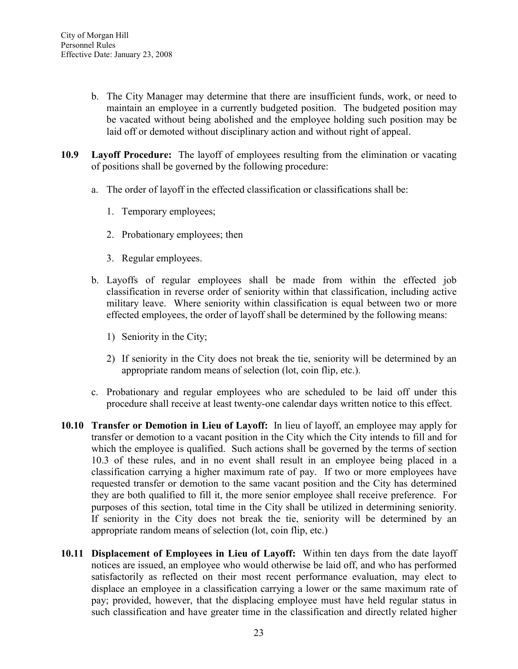- b. The City Manager may determine that there are insufficient funds, work, or need to maintain an employee in a currently budgeted position. The budgeted position may be vacated without being abolished and the employee holding such position may be laid off or demoted without disciplinary action and without right of appeal.
- 10.9 Layoff Procedure: The layoff of employees resulting from the elimination or vacating of positions shall be governed by the following procedure:
	- a. The order of layoff in the effected classification or classifications shall be:
		- 1. Temporary employees;
		- 2. Probationary employees; then
		- 3. Regular employees.
	- b. Layoffs of regular employees shall be made from within the effected job classification in reverse order of seniority within that classification, including active military leave. Where seniority within classification is equal between two or more effected employees, the order of layoff shall be determined by the following means:
		- 1) Seniority in the City;
		- 2) If seniority in the City does not break the tie, seniority will be determined by an appropriate random means of selection (lot, coin flip, etc.).
	- c. Probationary and regular employees who are scheduled to be laid off under this procedure shall receive at least twenty-one calendar days written notice to this effect.
- 10.10 Transfer or Demotion in Lieu of Layoff: In lieu of layoff, an employee may apply for transfer or demotion to a vacant position in the City which the City intends to fill and for which the employee is qualified. Such actions shall be governed by the terms of section 10.3 of these rules, and in no event shall result in an employee being placed in a classification carrying a higher maximum rate of pay. If two or more employees have requested transfer or demotion to the same vacant position and the City has determined they are both qualified to fill it, the more senior employee shall receive preference. For purposes of this section, total time in the City shall be utilized in determining seniority. If seniority in the City does not break the tie, seniority will be determined by an appropriate random means of selection (lot, coin flip, etc.)
- 10.11 Displacement of Employees in Lieu of Layoff: Within ten days from the date layoff notices are issued, an employee who would otherwise be laid off, and who has performed satisfactorily as reflected on their most recent performance evaluation, may elect to displace an employee in a classification carrying a lower or the same maximum rate of pay; provided, however, that the displacing employee must have held regular status in such classification and have greater time in the classification and directly related higher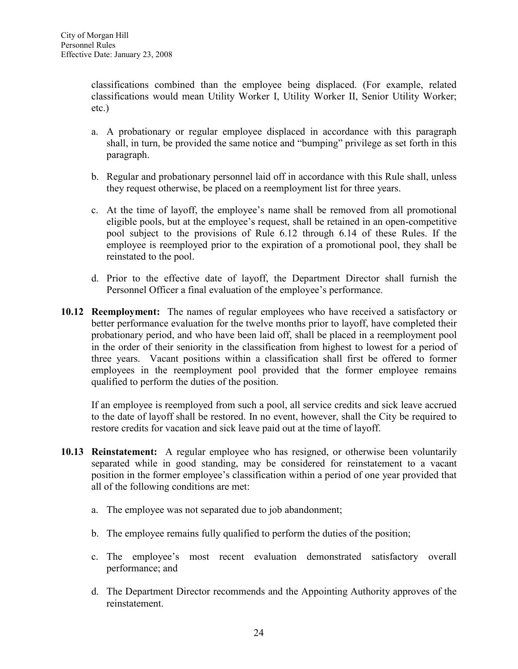classifications combined than the employee being displaced. (For example, related classifications would mean Utility Worker I, Utility Worker II, Senior Utility Worker; etc.)

- a. A probationary or regular employee displaced in accordance with this paragraph shall, in turn, be provided the same notice and "bumping" privilege as set forth in this paragraph.
- b. Regular and probationary personnel laid off in accordance with this Rule shall, unless they request otherwise, be placed on a reemployment list for three years.
- c. At the time of layoff, the employee's name shall be removed from all promotional eligible pools, but at the employee's request, shall be retained in an open-competitive pool subject to the provisions of Rule 6.12 through 6.14 of these Rules. If the employee is reemployed prior to the expiration of a promotional pool, they shall be reinstated to the pool.
- d. Prior to the effective date of layoff, the Department Director shall furnish the Personnel Officer a final evaluation of the employee's performance.
- 10.12 Reemployment: The names of regular employees who have received a satisfactory or better performance evaluation for the twelve months prior to layoff, have completed their probationary period, and who have been laid off, shall be placed in a reemployment pool in the order of their seniority in the classification from highest to lowest for a period of three years. Vacant positions within a classification shall first be offered to former employees in the reemployment pool provided that the former employee remains qualified to perform the duties of the position.

If an employee is reemployed from such a pool, all service credits and sick leave accrued to the date of layoff shall be restored. In no event, however, shall the City be required to restore credits for vacation and sick leave paid out at the time of layoff.

- 10.13 Reinstatement: A regular employee who has resigned, or otherwise been voluntarily separated while in good standing, may be considered for reinstatement to a vacant position in the former employee's classification within a period of one year provided that all of the following conditions are met:
	- a. The employee was not separated due to job abandonment;
	- b. The employee remains fully qualified to perform the duties of the position;
	- c. The employee's most recent evaluation demonstrated satisfactory overall performance; and
	- d. The Department Director recommends and the Appointing Authority approves of the reinstatement.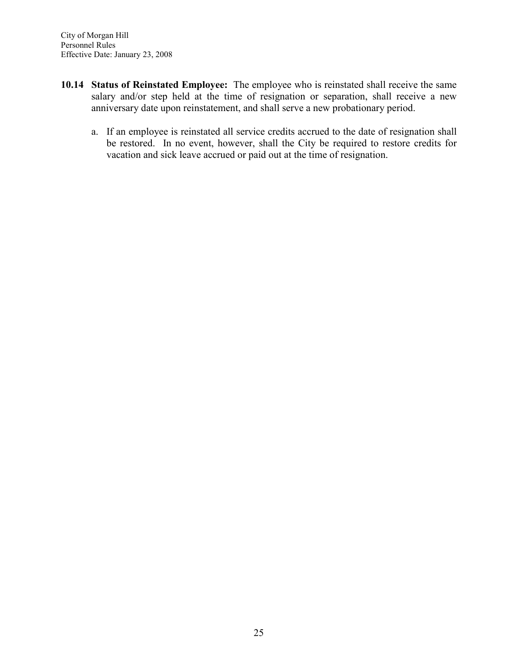- 10.14 Status of Reinstated Employee: The employee who is reinstated shall receive the same salary and/or step held at the time of resignation or separation, shall receive a new anniversary date upon reinstatement, and shall serve a new probationary period.
	- a. If an employee is reinstated all service credits accrued to the date of resignation shall be restored. In no event, however, shall the City be required to restore credits for vacation and sick leave accrued or paid out at the time of resignation.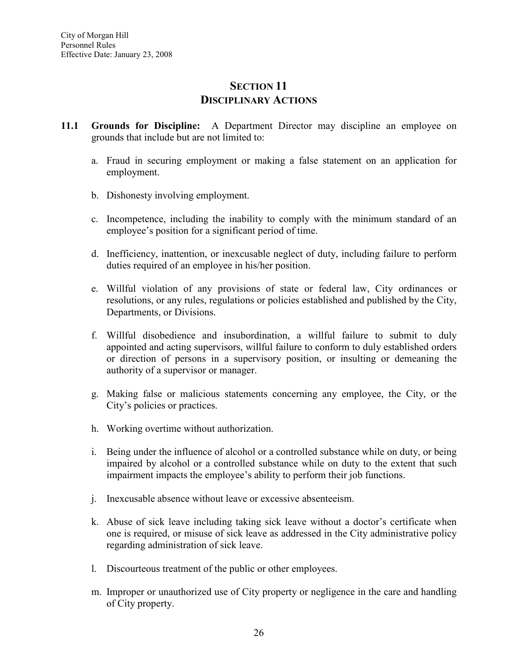## SECTION 11 DISCIPLINARY ACTIONS

- 11.1 Grounds for Discipline: A Department Director may discipline an employee on grounds that include but are not limited to:
	- a. Fraud in securing employment or making a false statement on an application for employment.
	- b. Dishonesty involving employment.
	- c. Incompetence, including the inability to comply with the minimum standard of an employee's position for a significant period of time.
	- d. Inefficiency, inattention, or inexcusable neglect of duty, including failure to perform duties required of an employee in his/her position.
	- e. Willful violation of any provisions of state or federal law, City ordinances or resolutions, or any rules, regulations or policies established and published by the City, Departments, or Divisions.
	- f. Willful disobedience and insubordination, a willful failure to submit to duly appointed and acting supervisors, willful failure to conform to duly established orders or direction of persons in a supervisory position, or insulting or demeaning the authority of a supervisor or manager.
	- g. Making false or malicious statements concerning any employee, the City, or the City's policies or practices.
	- h. Working overtime without authorization.
	- i. Being under the influence of alcohol or a controlled substance while on duty, or being impaired by alcohol or a controlled substance while on duty to the extent that such impairment impacts the employee's ability to perform their job functions.
	- j. Inexcusable absence without leave or excessive absenteeism.
	- k. Abuse of sick leave including taking sick leave without a doctor's certificate when one is required, or misuse of sick leave as addressed in the City administrative policy regarding administration of sick leave.
	- l. Discourteous treatment of the public or other employees.
	- m. Improper or unauthorized use of City property or negligence in the care and handling of City property.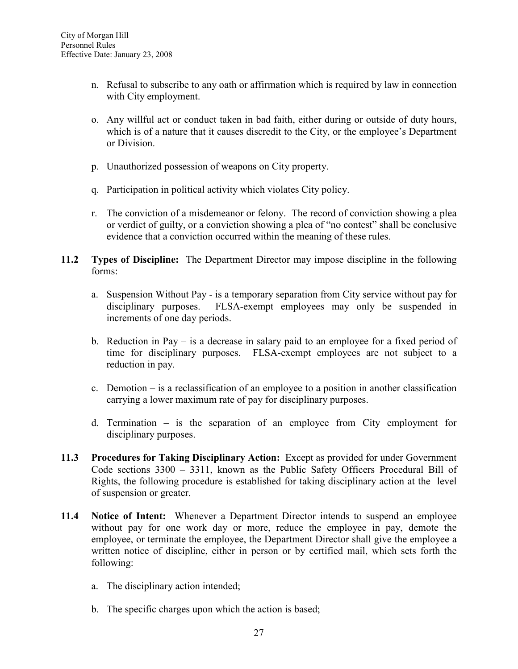- n. Refusal to subscribe to any oath or affirmation which is required by law in connection with City employment.
- o. Any willful act or conduct taken in bad faith, either during or outside of duty hours, which is of a nature that it causes discredit to the City, or the employee's Department or Division.
- p. Unauthorized possession of weapons on City property.
- q. Participation in political activity which violates City policy.
- r. The conviction of a misdemeanor or felony. The record of conviction showing a plea or verdict of guilty, or a conviction showing a plea of "no contest" shall be conclusive evidence that a conviction occurred within the meaning of these rules.
- 11.2 Types of Discipline: The Department Director may impose discipline in the following forms:
	- a. Suspension Without Pay is a temporary separation from City service without pay for disciplinary purposes. FLSA-exempt employees may only be suspended in increments of one day periods.
	- b. Reduction in Pay is a decrease in salary paid to an employee for a fixed period of time for disciplinary purposes. FLSA-exempt employees are not subject to a reduction in pay.
	- c. Demotion is a reclassification of an employee to a position in another classification carrying a lower maximum rate of pay for disciplinary purposes.
	- d. Termination  $-$  is the separation of an employee from City employment for disciplinary purposes.
- 11.3 Procedures for Taking Disciplinary Action: Except as provided for under Government Code sections 3300 – 3311, known as the Public Safety Officers Procedural Bill of Rights, the following procedure is established for taking disciplinary action at the level of suspension or greater.
- 11.4 Notice of Intent: Whenever a Department Director intends to suspend an employee without pay for one work day or more, reduce the employee in pay, demote the employee, or terminate the employee, the Department Director shall give the employee a written notice of discipline, either in person or by certified mail, which sets forth the following:
	- a. The disciplinary action intended;
	- b. The specific charges upon which the action is based;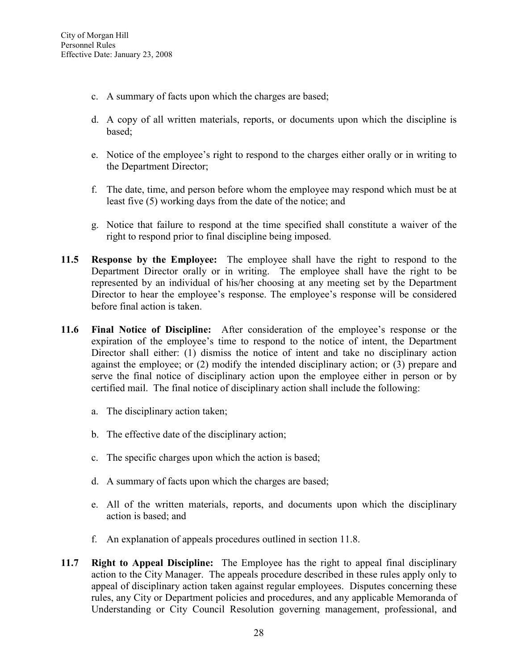- c. A summary of facts upon which the charges are based;
- d. A copy of all written materials, reports, or documents upon which the discipline is based;
- e. Notice of the employee's right to respond to the charges either orally or in writing to the Department Director;
- f. The date, time, and person before whom the employee may respond which must be at least five (5) working days from the date of the notice; and
- g. Notice that failure to respond at the time specified shall constitute a waiver of the right to respond prior to final discipline being imposed.
- 11.5 Response by the Employee: The employee shall have the right to respond to the Department Director orally or in writing. The employee shall have the right to be represented by an individual of his/her choosing at any meeting set by the Department Director to hear the employee's response. The employee's response will be considered before final action is taken.
- 11.6 Final Notice of Discipline: After consideration of the employee's response or the expiration of the employee's time to respond to the notice of intent, the Department Director shall either: (1) dismiss the notice of intent and take no disciplinary action against the employee; or (2) modify the intended disciplinary action; or (3) prepare and serve the final notice of disciplinary action upon the employee either in person or by certified mail. The final notice of disciplinary action shall include the following:
	- a. The disciplinary action taken;
	- b. The effective date of the disciplinary action;
	- c. The specific charges upon which the action is based;
	- d. A summary of facts upon which the charges are based;
	- e. All of the written materials, reports, and documents upon which the disciplinary action is based; and
	- f. An explanation of appeals procedures outlined in section 11.8.
- 11.7 Right to Appeal Discipline: The Employee has the right to appeal final disciplinary action to the City Manager. The appeals procedure described in these rules apply only to appeal of disciplinary action taken against regular employees. Disputes concerning these rules, any City or Department policies and procedures, and any applicable Memoranda of Understanding or City Council Resolution governing management, professional, and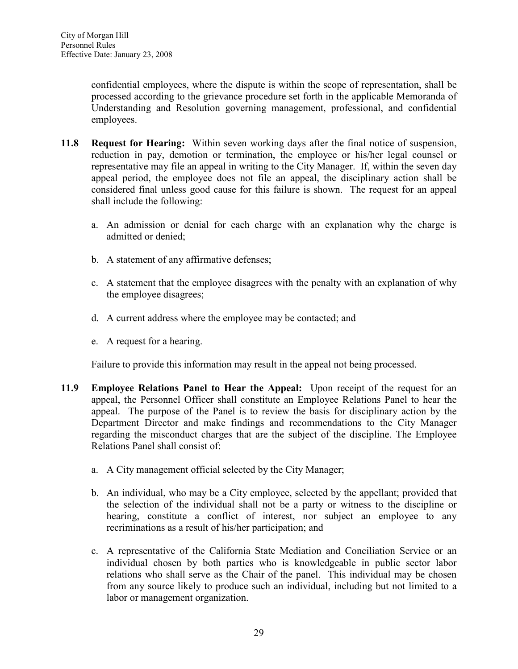confidential employees, where the dispute is within the scope of representation, shall be processed according to the grievance procedure set forth in the applicable Memoranda of Understanding and Resolution governing management, professional, and confidential employees.

- 11.8 Request for Hearing: Within seven working days after the final notice of suspension, reduction in pay, demotion or termination, the employee or his/her legal counsel or representative may file an appeal in writing to the City Manager. If, within the seven day appeal period, the employee does not file an appeal, the disciplinary action shall be considered final unless good cause for this failure is shown. The request for an appeal shall include the following:
	- a. An admission or denial for each charge with an explanation why the charge is admitted or denied;
	- b. A statement of any affirmative defenses;
	- c. A statement that the employee disagrees with the penalty with an explanation of why the employee disagrees;
	- d. A current address where the employee may be contacted; and
	- e. A request for a hearing.

Failure to provide this information may result in the appeal not being processed.

- 11.9 Employee Relations Panel to Hear the Appeal: Upon receipt of the request for an appeal, the Personnel Officer shall constitute an Employee Relations Panel to hear the appeal. The purpose of the Panel is to review the basis for disciplinary action by the Department Director and make findings and recommendations to the City Manager regarding the misconduct charges that are the subject of the discipline. The Employee Relations Panel shall consist of:
	- a. A City management official selected by the City Manager;
	- b. An individual, who may be a City employee, selected by the appellant; provided that the selection of the individual shall not be a party or witness to the discipline or hearing, constitute a conflict of interest, nor subject an employee to any recriminations as a result of his/her participation; and
	- c. A representative of the California State Mediation and Conciliation Service or an individual chosen by both parties who is knowledgeable in public sector labor relations who shall serve as the Chair of the panel. This individual may be chosen from any source likely to produce such an individual, including but not limited to a labor or management organization.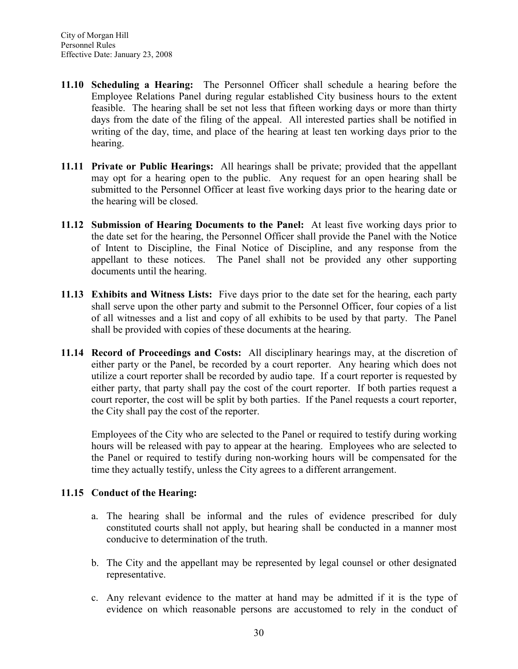- 11.10 Scheduling a Hearing: The Personnel Officer shall schedule a hearing before the Employee Relations Panel during regular established City business hours to the extent feasible. The hearing shall be set not less that fifteen working days or more than thirty days from the date of the filing of the appeal. All interested parties shall be notified in writing of the day, time, and place of the hearing at least ten working days prior to the hearing.
- 11.11 Private or Public Hearings: All hearings shall be private; provided that the appellant may opt for a hearing open to the public. Any request for an open hearing shall be submitted to the Personnel Officer at least five working days prior to the hearing date or the hearing will be closed.
- 11.12 Submission of Hearing Documents to the Panel: At least five working days prior to the date set for the hearing, the Personnel Officer shall provide the Panel with the Notice of Intent to Discipline, the Final Notice of Discipline, and any response from the appellant to these notices. The Panel shall not be provided any other supporting documents until the hearing.
- 11.13 Exhibits and Witness Lists: Five days prior to the date set for the hearing, each party shall serve upon the other party and submit to the Personnel Officer, four copies of a list of all witnesses and a list and copy of all exhibits to be used by that party. The Panel shall be provided with copies of these documents at the hearing.
- 11.14 Record of Proceedings and Costs: All disciplinary hearings may, at the discretion of either party or the Panel, be recorded by a court reporter. Any hearing which does not utilize a court reporter shall be recorded by audio tape. If a court reporter is requested by either party, that party shall pay the cost of the court reporter. If both parties request a court reporter, the cost will be split by both parties. If the Panel requests a court reporter, the City shall pay the cost of the reporter.

Employees of the City who are selected to the Panel or required to testify during working hours will be released with pay to appear at the hearing. Employees who are selected to the Panel or required to testify during non-working hours will be compensated for the time they actually testify, unless the City agrees to a different arrangement.

#### 11.15 Conduct of the Hearing:

- a. The hearing shall be informal and the rules of evidence prescribed for duly constituted courts shall not apply, but hearing shall be conducted in a manner most conducive to determination of the truth.
- b. The City and the appellant may be represented by legal counsel or other designated representative.
- c. Any relevant evidence to the matter at hand may be admitted if it is the type of evidence on which reasonable persons are accustomed to rely in the conduct of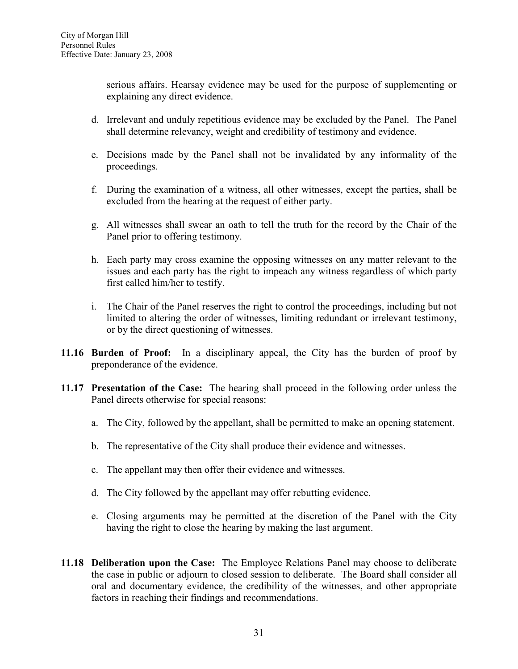serious affairs. Hearsay evidence may be used for the purpose of supplementing or explaining any direct evidence.

- d. Irrelevant and unduly repetitious evidence may be excluded by the Panel. The Panel shall determine relevancy, weight and credibility of testimony and evidence.
- e. Decisions made by the Panel shall not be invalidated by any informality of the proceedings.
- f. During the examination of a witness, all other witnesses, except the parties, shall be excluded from the hearing at the request of either party.
- g. All witnesses shall swear an oath to tell the truth for the record by the Chair of the Panel prior to offering testimony.
- h. Each party may cross examine the opposing witnesses on any matter relevant to the issues and each party has the right to impeach any witness regardless of which party first called him/her to testify.
- i. The Chair of the Panel reserves the right to control the proceedings, including but not limited to altering the order of witnesses, limiting redundant or irrelevant testimony, or by the direct questioning of witnesses.
- 11.16 Burden of Proof: In a disciplinary appeal, the City has the burden of proof by preponderance of the evidence.
- 11.17 Presentation of the Case: The hearing shall proceed in the following order unless the Panel directs otherwise for special reasons:
	- a. The City, followed by the appellant, shall be permitted to make an opening statement.
	- b. The representative of the City shall produce their evidence and witnesses.
	- c. The appellant may then offer their evidence and witnesses.
	- d. The City followed by the appellant may offer rebutting evidence.
	- e. Closing arguments may be permitted at the discretion of the Panel with the City having the right to close the hearing by making the last argument.
- 11.18 Deliberation upon the Case: The Employee Relations Panel may choose to deliberate the case in public or adjourn to closed session to deliberate. The Board shall consider all oral and documentary evidence, the credibility of the witnesses, and other appropriate factors in reaching their findings and recommendations.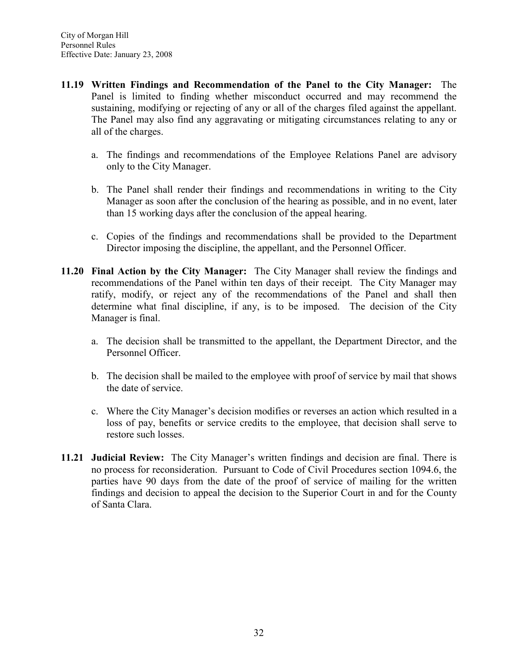- 11.19 Written Findings and Recommendation of the Panel to the City Manager: The Panel is limited to finding whether misconduct occurred and may recommend the sustaining, modifying or rejecting of any or all of the charges filed against the appellant. The Panel may also find any aggravating or mitigating circumstances relating to any or all of the charges.
	- a. The findings and recommendations of the Employee Relations Panel are advisory only to the City Manager.
	- b. The Panel shall render their findings and recommendations in writing to the City Manager as soon after the conclusion of the hearing as possible, and in no event, later than 15 working days after the conclusion of the appeal hearing.
	- c. Copies of the findings and recommendations shall be provided to the Department Director imposing the discipline, the appellant, and the Personnel Officer.
- 11.20 Final Action by the City Manager: The City Manager shall review the findings and recommendations of the Panel within ten days of their receipt. The City Manager may ratify, modify, or reject any of the recommendations of the Panel and shall then determine what final discipline, if any, is to be imposed. The decision of the City Manager is final.
	- a. The decision shall be transmitted to the appellant, the Department Director, and the Personnel Officer.
	- b. The decision shall be mailed to the employee with proof of service by mail that shows the date of service.
	- c. Where the City Manager's decision modifies or reverses an action which resulted in a loss of pay, benefits or service credits to the employee, that decision shall serve to restore such losses.
- 11.21 Judicial Review: The City Manager's written findings and decision are final. There is no process for reconsideration. Pursuant to Code of Civil Procedures section 1094.6, the parties have 90 days from the date of the proof of service of mailing for the written findings and decision to appeal the decision to the Superior Court in and for the County of Santa Clara.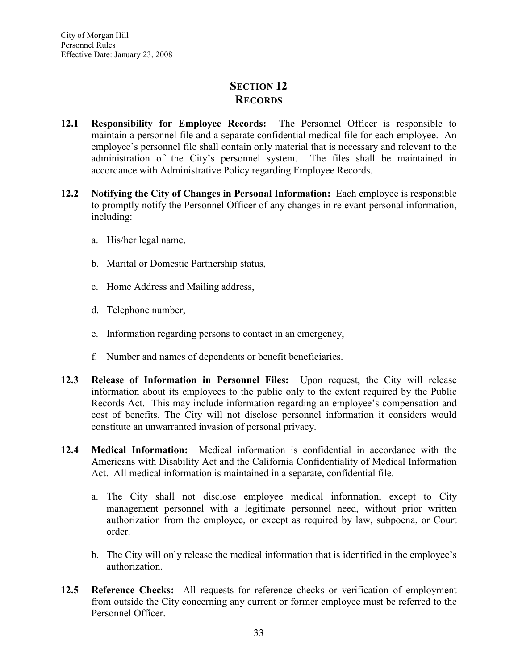## SECTION 12 RECORDS

- 12.1 Responsibility for Employee Records: The Personnel Officer is responsible to maintain a personnel file and a separate confidential medical file for each employee. An employee's personnel file shall contain only material that is necessary and relevant to the administration of the City's personnel system. The files shall be maintained in accordance with Administrative Policy regarding Employee Records.
- 12.2 Notifying the City of Changes in Personal Information: Each employee is responsible to promptly notify the Personnel Officer of any changes in relevant personal information, including:
	- a. His/her legal name,
	- b. Marital or Domestic Partnership status,
	- c. Home Address and Mailing address,
	- d. Telephone number,
	- e. Information regarding persons to contact in an emergency,
	- f. Number and names of dependents or benefit beneficiaries.
- 12.3 Release of Information in Personnel Files: Upon request, the City will release information about its employees to the public only to the extent required by the Public Records Act. This may include information regarding an employee's compensation and cost of benefits. The City will not disclose personnel information it considers would constitute an unwarranted invasion of personal privacy.
- 12.4 Medical Information: Medical information is confidential in accordance with the Americans with Disability Act and the California Confidentiality of Medical Information Act. All medical information is maintained in a separate, confidential file.
	- a. The City shall not disclose employee medical information, except to City management personnel with a legitimate personnel need, without prior written authorization from the employee, or except as required by law, subpoena, or Court order.
	- b. The City will only release the medical information that is identified in the employee's authorization.
- 12.5 Reference Checks: All requests for reference checks or verification of employment from outside the City concerning any current or former employee must be referred to the Personnel Officer.